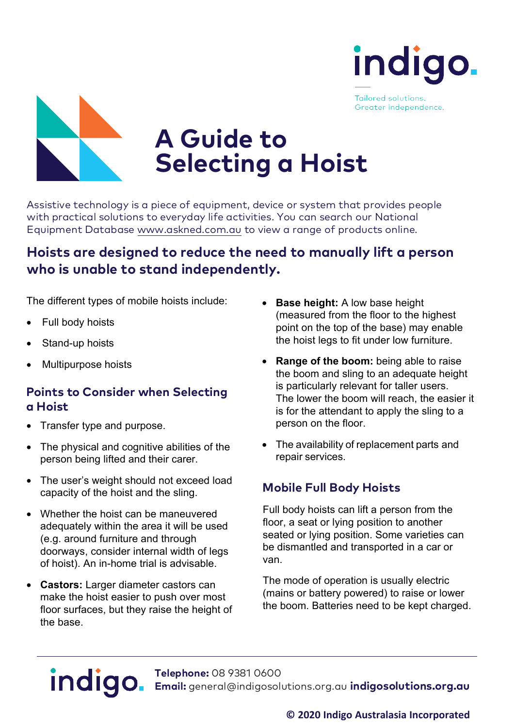

Tailored solutions. Greater independence.



# **A Guide to Selecting a Hoist**

Assistive technology is a piece of equipment, device or system that provides people<br>with practical solutions to everyday life activities. You can search our National<br>Equipment Database<www.askned.com.au> to view a range of

### **Hoists are designed to reduce the need to manually lift <sup>a</sup> person who is unable to stand independently.**

The different types of mobile hoists include:

- Full body hoists
- Stand-up hoists
- Multipurpose hoists

### **Points to Consider when Selecting a Hoist**

- Transfer type and purpose.
- The physical and cognitive abilities of the person being lifted and their carer.
- The user's weight should not exceed load capacity of the hoist and the sling.
- Whether the hoist can be maneuvered adequately within the area it will be used (e.g. around furniture and through doorways, consider internal width of legs of hoist). An in-home trial is advisable.
- **Castors:** Larger diameter castors can make the hoist easier to push over most floor surfaces, but they raise the height of the base.
- **Base height:** A low base height (measured from the floor to the highest point on the top of the base) may enable the hoist legs to fit under low furniture.
- **Range of the boom:** being able to raise the boom and sling to an adequate height is particularly relevant for taller users. The lower the boom will reach, the easier it is for the attendant to apply the sling to a person on the floor.
- The availability of replacement parts and repair services.

#### **Mobile Full Body Hoists**

Full body hoists can lift a person from the floor, a seat or lying position to another seated or lying position. Some varieties can be dismantled and transported in a car or van.

The mode of operation is usually electric (mains or battery powered) to raise or lower the boom. Batteries need to be kept charged.

## indigo.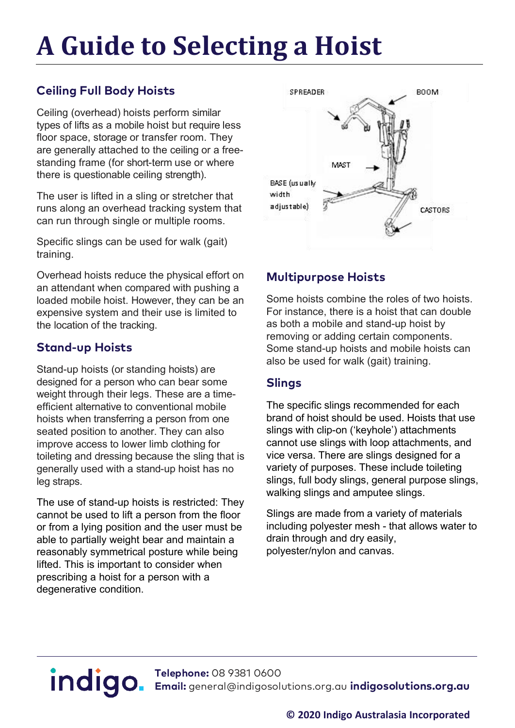### **A Guide to Selecting a Hoist**

#### **Ceiling Full Body Hoists**

Ceiling (overhead) hoists perform similar types of lifts as a mobile hoist but require less floor space, storage or transfer room. They are generally attached to the ceiling or a freestanding frame (for short-term use or where there is questionable ceiling strength).

The user is lifted in a sling or stretcher that runs along an overhead tracking system that can run through single or multiple rooms.

Specific slings can be used for walk (gait) training.

Overhead hoists reduce the physical effort on an attendant when compared with pushing a loaded mobile hoist. However, they can be an expensive system and their use is limited to the location of the tracking.

#### **Stand-up Hoists**

Stand-up hoists (or standing hoists) are designed for a person who can bear some weight through their legs. These are a timeefficient alternative to conventional mobile hoists when transferring a person from one seated position to another. They can also improve access to lower limb clothing for toileting and dressing because the sling that is generally used with a stand-up hoist has no leg straps.

The use of stand-up hoists is restricted: They cannot be used to lift a person from the floor or from a lying position and the user must be able to partially weight bear and maintain a reasonably symmetrical posture while being lifted. This is important to consider when prescribing a hoist for a person with a degenerative condition.



#### **Multipurpose Hoists**

Some hoists combine the roles of two hoists. For instance, there is a hoist that can double as both a mobile and stand-up hoist by removing or adding certain components. Some stand-up hoists and mobile hoists can also be used for walk (gait) training.

#### **Slings**

The specific slings recommended for each brand of hoist should be used. Hoists that use slings with clip-on ('keyhole') attachments cannot use slings with loop attachments, and vice versa. There are slings designed for a variety of purposes. These include toileting slings, full body slings, general purpose slings, walking slings and amputee slings.

Slings are made from a variety of materials including polyester mesh - that allows water to drain through and dry easily, polyester/nylon and canvas.

**Telephone:** 08 9381 0600 **Email:** [general@indigosolutions.org.au](mailto:general@indigosolutions.org.au) **indigosolutions.org.au**